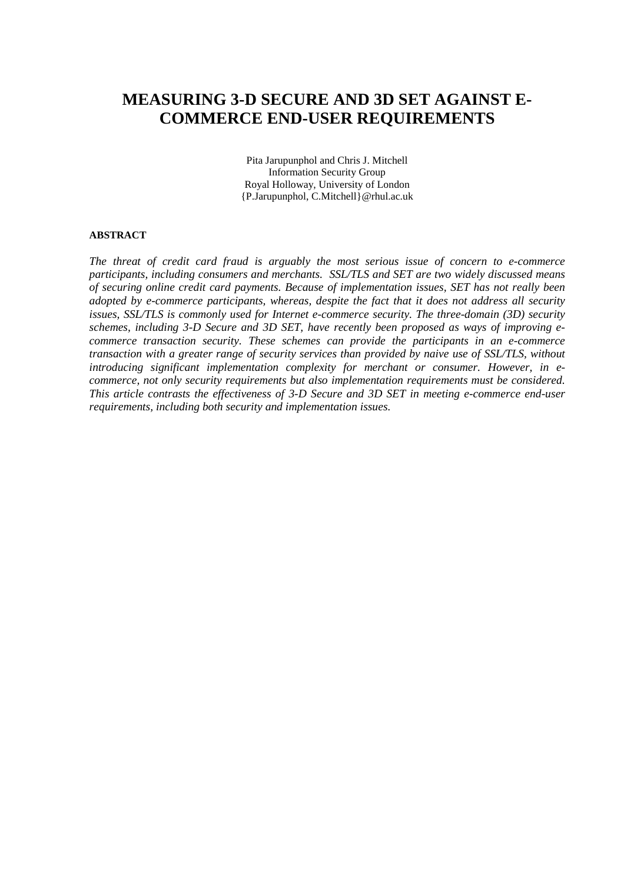# **MEASURING 3-D SECURE AND 3D SET AGAINST E-COMMERCE END-USER REQUIREMENTS**

Pita Jarupunphol and Chris J. Mitchell Information Security Group Royal Holloway, University of London {P.Jarupunphol, C.Mitchell}@rhul.ac.uk

#### **ABSTRACT**

*The threat of credit card fraud is arguably the most serious issue of concern to e-commerce participants, including consumers and merchants. SSL/TLS and SET are two widely discussed means of securing online credit card payments. Because of implementation issues, SET has not really been adopted by e-commerce participants, whereas, despite the fact that it does not address all security issues, SSL/TLS is commonly used for Internet e-commerce security. The three-domain (3D) security schemes, including 3-D Secure and 3D SET, have recently been proposed as ways of improving ecommerce transaction security. These schemes can provide the participants in an e-commerce transaction with a greater range of security services than provided by naive use of SSL/TLS, without introducing significant implementation complexity for merchant or consumer. However, in ecommerce, not only security requirements but also implementation requirements must be considered. This article contrasts the effectiveness of 3-D Secure and 3D SET in meeting e-commerce end-user requirements, including both security and implementation issues.*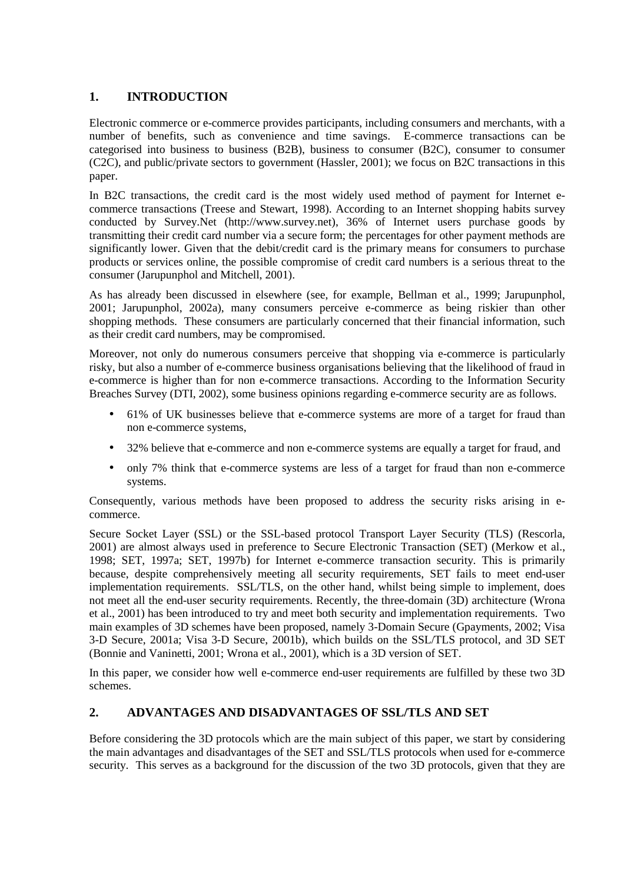## **1. INTRODUCTION**

Electronic commerce or e-commerce provides participants, including consumers and merchants, with a number of benefits, such as convenience and time savings. E-commerce transactions can be categorised into business to business (B2B), business to consumer (B2C), consumer to consumer (C2C), and public/private sectors to government (Hassler, 2001); we focus on B2C transactions in this paper.

In B2C transactions, the credit card is the most widely used method of payment for Internet ecommerce transactions (Treese and Stewart, 1998). According to an Internet shopping habits survey conducted by Survey.Net (http://www.survey.net), 36% of Internet users purchase goods by transmitting their credit card number via a secure form; the percentages for other payment methods are significantly lower. Given that the debit/credit card is the primary means for consumers to purchase products or services online, the possible compromise of credit card numbers is a serious threat to the consumer (Jarupunphol and Mitchell, 2001).

As has already been discussed in elsewhere (see, for example, Bellman et al., 1999; Jarupunphol, 2001; Jarupunphol, 2002a), many consumers perceive e-commerce as being riskier than other shopping methods. These consumers are particularly concerned that their financial information, such as their credit card numbers, may be compromised.

Moreover, not only do numerous consumers perceive that shopping via e-commerce is particularly risky, but also a number of e-commerce business organisations believing that the likelihood of fraud in e-commerce is higher than for non e-commerce transactions. According to the Information Security Breaches Survey (DTI, 2002), some business opinions regarding e-commerce security are as follows.

- 61% of UK businesses believe that e-commerce systems are more of a target for fraud than non e-commerce systems,
- 32% believe that e-commerce and non e-commerce systems are equally a target for fraud, and
- only 7% think that e-commerce systems are less of a target for fraud than non e-commerce systems.

Consequently, various methods have been proposed to address the security risks arising in ecommerce.

Secure Socket Layer (SSL) or the SSL-based protocol Transport Layer Security (TLS) (Rescorla, 2001) are almost always used in preference to Secure Electronic Transaction (SET) (Merkow et al., 1998; SET, 1997a; SET, 1997b) for Internet e-commerce transaction security. This is primarily because, despite comprehensively meeting all security requirements, SET fails to meet end-user implementation requirements. SSL/TLS, on the other hand, whilst being simple to implement, does not meet all the end-user security requirements. Recently, the three-domain (3D) architecture (Wrona et al., 2001) has been introduced to try and meet both security and implementation requirements. Two main examples of 3D schemes have been proposed, namely 3-Domain Secure (Gpayments, 2002; Visa 3-D Secure, 2001a; Visa 3-D Secure, 2001b), which builds on the SSL/TLS protocol, and 3D SET (Bonnie and Vaninetti, 2001; Wrona et al., 2001), which is a 3D version of SET.

In this paper, we consider how well e-commerce end-user requirements are fulfilled by these two 3D schemes.

### **2. ADVANTAGES AND DISADVANTAGES OF SSL/TLS AND SET**

Before considering the 3D protocols which are the main subject of this paper, we start by considering the main advantages and disadvantages of the SET and SSL/TLS protocols when used for e-commerce security. This serves as a background for the discussion of the two 3D protocols, given that they are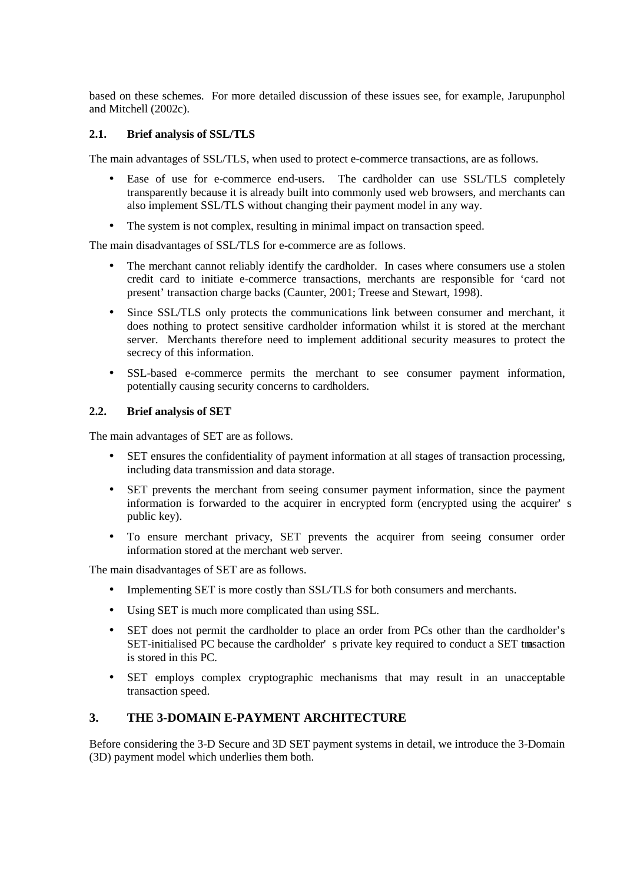based on these schemes. For more detailed discussion of these issues see, for example, Jarupunphol and Mitchell (2002c).

## **2.1. Brief analysis of SSL/TLS**

The main advantages of SSL/TLS, when used to protect e-commerce transactions, are as follows.

- Ease of use for e-commerce end-users. The cardholder can use SSL/TLS completely transparently because it is already built into commonly used web browsers, and merchants can also implement SSL/TLS without changing their payment model in any way.
- The system is not complex, resulting in minimal impact on transaction speed.

The main disadvantages of SSL/TLS for e-commerce are as follows.

- The merchant cannot reliably identify the cardholder. In cases where consumers use a stolen credit card to initiate e-commerce transactions, merchants are responsible for 'card not present' transaction charge backs (Caunter, 2001; Treese and Stewart, 1998).
- Since SSL/TLS only protects the communications link between consumer and merchant, it does nothing to protect sensitive cardholder information whilst it is stored at the merchant server. Merchants therefore need to implement additional security measures to protect the secrecy of this information.
- SSL-based e-commerce permits the merchant to see consumer payment information, potentially causing security concerns to cardholders.

#### **2.2. Brief analysis of SET**

The main advantages of SET are as follows.

- SET ensures the confidentiality of payment information at all stages of transaction processing, including data transmission and data storage.
- SET prevents the merchant from seeing consumer payment information, since the payment information is forwarded to the acquirer in encrypted form (encrypted using the acquirer' s public key).
- To ensure merchant privacy, SET prevents the acquirer from seeing consumer order information stored at the merchant web server.

The main disadvantages of SET are as follows.

- Implementing SET is more costly than SSL/TLS for both consumers and merchants.
- Using SET is much more complicated than using SSL.
- SET does not permit the cardholder to place an order from PCs other than the cardholder's SET-initialised PC because the cardholder' s private key required to conduct a SET trasaction is stored in this PC.
- SET employs complex cryptographic mechanisms that may result in an unacceptable transaction speed.

### **3. THE 3-DOMAIN E-PAYMENT ARCHITECTURE**

Before considering the 3-D Secure and 3D SET payment systems in detail, we introduce the 3-Domain (3D) payment model which underlies them both.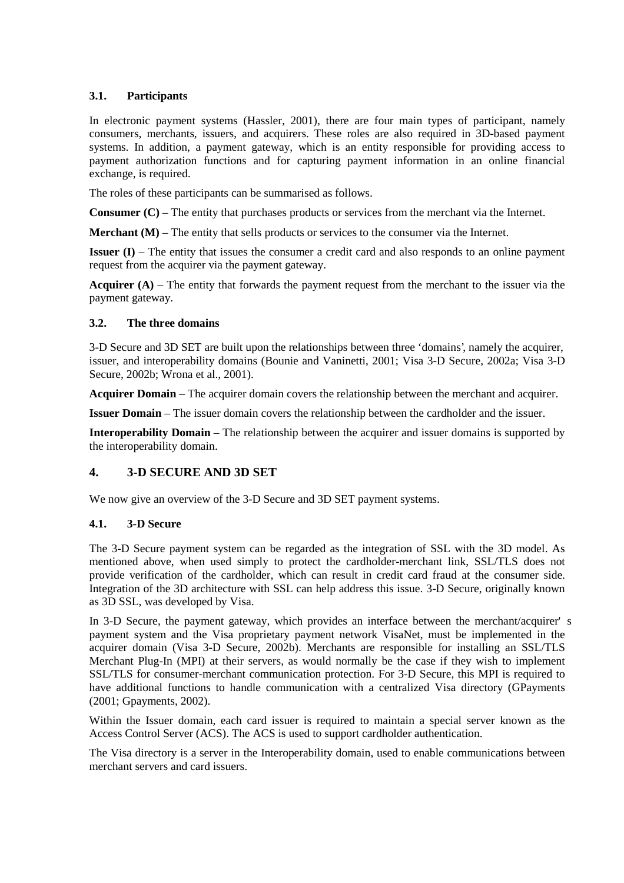#### **3.1. Participants**

In electronic payment systems (Hassler, 2001), there are four main types of participant, namely consumers, merchants, issuers, and acquirers. These roles are also required in 3D-based payment systems. In addition, a payment gateway, which is an entity responsible for providing access to payment authorization functions and for capturing payment information in an online financial exchange, is required.

The roles of these participants can be summarised as follows.

**Consumer (C)** – The entity that purchases products or services from the merchant via the Internet.

**Merchant (M)** – The entity that sells products or services to the consumer via the Internet.

**Issuer (I)** – The entity that issues the consumer a credit card and also responds to an online payment request from the acquirer via the payment gateway.

**Acquirer (A)** – The entity that forwards the payment request from the merchant to the issuer via the payment gateway.

#### **3.2. The three domains**

3-D Secure and 3D SET are built upon the relationships between three 'domains', namely the acquirer, issuer, and interoperability domains (Bounie and Vaninetti, 2001; Visa 3-D Secure, 2002a; Visa 3-D Secure, 2002b; Wrona et al., 2001).

**Acquirer Domain** – The acquirer domain covers the relationship between the merchant and acquirer.

**Issuer Domain** – The issuer domain covers the relationship between the cardholder and the issuer.

**Interoperability Domain** – The relationship between the acquirer and issuer domains is supported by the interoperability domain.

## **4. 3-D SECURE AND 3D SET**

We now give an overview of the 3-D Secure and 3D SET payment systems.

### **4.1. 3-D Secure**

The 3-D Secure payment system can be regarded as the integration of SSL with the 3D model. As mentioned above, when used simply to protect the cardholder-merchant link, SSL/TLS does not provide verification of the cardholder, which can result in credit card fraud at the consumer side. Integration of the 3D architecture with SSL can help address this issue. 3-D Secure, originally known as 3D SSL, was developed by Visa.

In 3-D Secure, the payment gateway, which provides an interface between the merchant/acquirer' s payment system and the Visa proprietary payment network VisaNet, must be implemented in the acquirer domain (Visa 3-D Secure, 2002b). Merchants are responsible for installing an SSL/TLS Merchant Plug-In (MPI) at their servers, as would normally be the case if they wish to implement SSL/TLS for consumer-merchant communication protection. For 3-D Secure, this MPI is required to have additional functions to handle communication with a centralized Visa directory (GPayments (2001; Gpayments, 2002).

Within the Issuer domain, each card issuer is required to maintain a special server known as the Access Control Server (ACS). The ACS is used to support cardholder authentication.

The Visa directory is a server in the Interoperability domain, used to enable communications between merchant servers and card issuers.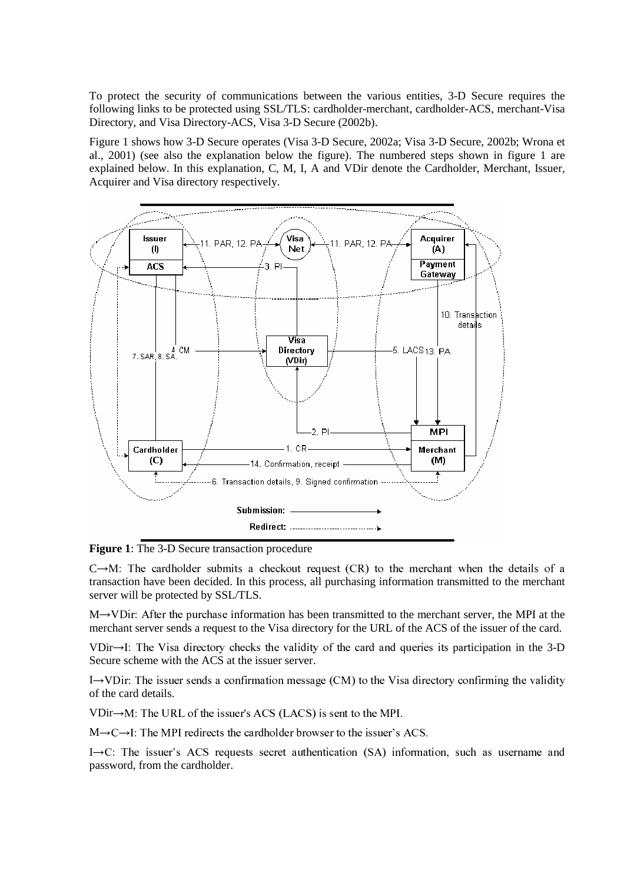To protect the security of communications between the various entities, 3-D Secure requires the following links to be protected using SSL/TLS: cardholder-merchant, cardholder-ACS, merchant-Visa Directory, and Visa Directory-ACS, Visa 3-D Secure (2002b).

Figure 1 shows how 3-D Secure operates (Visa 3-D Secure, 2002a; Visa 3-D Secure, 2002b; Wrona et al., 2001) (see also the explanation below the figure). The numbered steps shown in figure 1 are explained below. In this explanation, C, M, I, A and VDir denote the Cardholder, Merchant, Issuer, Acquirer and Visa directory respectively.



**Figure 1**: The 3-D Secure transaction procedure

 $C \rightarrow M$ : The cardholder submits a checkout request (CR) to the merchant when the details of a transaction have been decided. In this process, all purchasing information transmitted to the merchant server will be protected by SSL/TLS.

 $M \rightarrow V$ Dir: After the purchase information has been transmitted to the merchant server, the MPI at the merchant server sends a request to the Visa directory for the URL of the ACS of the issuer of the card.

VDir $\rightarrow$ I: The Visa directory checks the validity of the card and queries its participation in the 3-D Secure scheme with the ACS at the issuer server.

I -> VDir: The issuer sends a confirmation message (CM) to the Visa directory confirming the validity of the card details.

 $VDir \rightarrow M$ : The URL of the issuer's ACS (LACS) is sent to the MPI.

 $M \rightarrow C \rightarrow I$ : The MPI redirects the cardholder browser to the issuer's ACS.

I $\rightarrow$ C: The issuer's ACS requests secret authentication (SA) information, such as username and password, from the cardholder.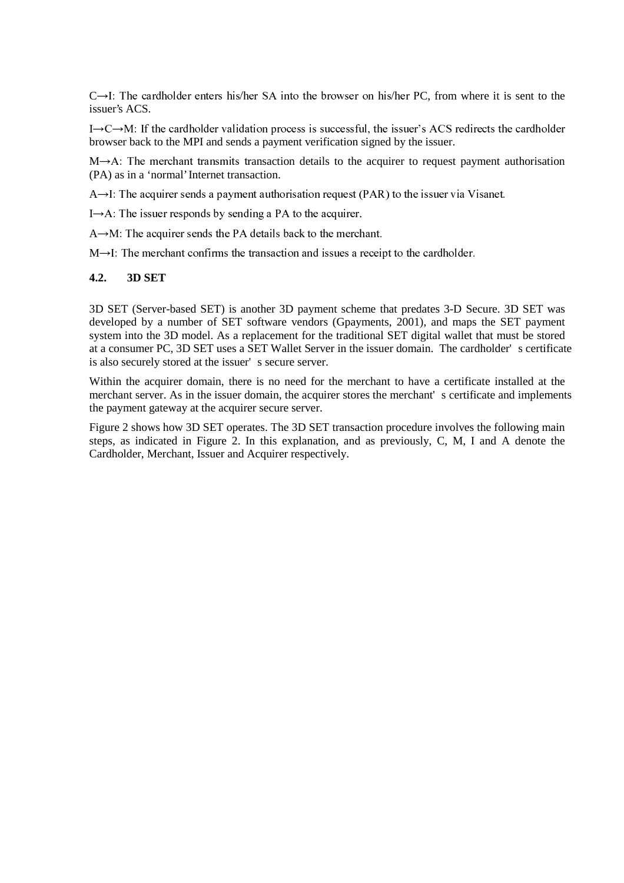$C\rightarrow I$ : The cardholder enters his/her SA into the browser on his/her PC, from where it is sent to the issuer's ACS.

I $\rightarrow$ C $\rightarrow$ M: If the cardholder validation process is successful, the issuer's ACS redirects the cardholder browser back to the MPI and sends a payment verification signed by the issuer.

 $M\rightarrow A$ : The merchant transmits transaction details to the acquirer to request payment authorisation (PA) as in a 'normal' Internet transaction.

 $A \rightarrow I$ : The acquirer sends a payment authorisation request (PAR) to the issuer via Visanet.

I $\rightarrow$ A: The issuer responds by sending a PA to the acquirer.

 $A \rightarrow M$ : The acquirer sends the PA details back to the merchant.

 $M\rightarrow I$ : The merchant confirms the transaction and issues a receipt to the cardholder.

#### **4.2. 3D SET**

3D SET (Server-based SET) is another 3D payment scheme that predates 3-D Secure. 3D SET was developed by a number of SET software vendors (Gpayments, 2001), and maps the SET payment system into the 3D model. As a replacement for the traditional SET digital wallet that must be stored at a consumer PC, 3D SET uses a SET Wallet Server in the issuer domain. The cardholder' s certificate is also securely stored at the issuer' s secure server.

Within the acquirer domain, there is no need for the merchant to have a certificate installed at the merchant server. As in the issuer domain, the acquirer stores the merchant' s certificate and implements the payment gateway at the acquirer secure server.

Figure 2 shows how 3D SET operates. The 3D SET transaction procedure involves the following main steps, as indicated in Figure 2. In this explanation, and as previously, C, M, I and A denote the Cardholder, Merchant, Issuer and Acquirer respectively.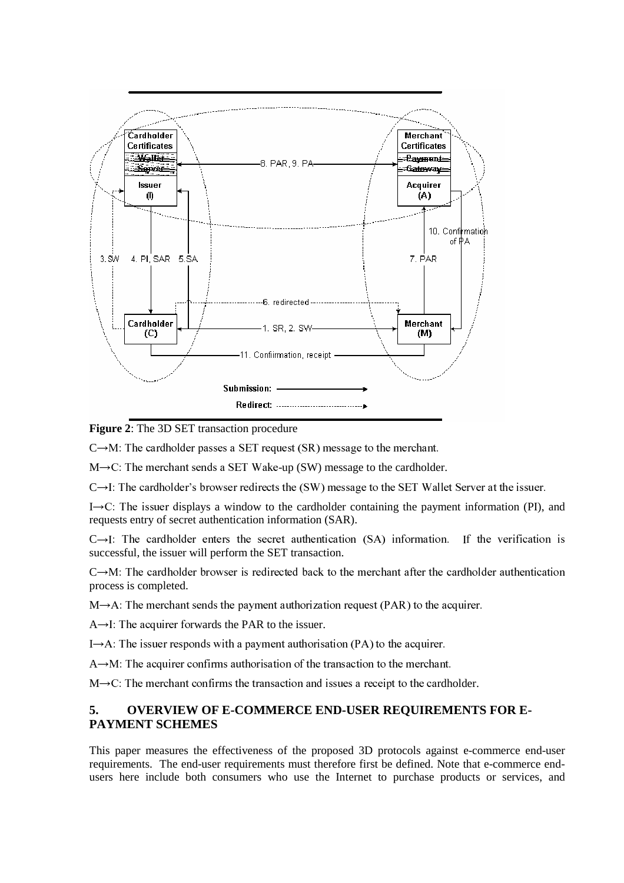

**Figure 2**: The 3D SET transaction procedure

 $C \rightarrow M$ : The cardholder passes a SET request (SR) message to the merchant.

 $M \rightarrow C$ : The merchant sends a SET Wake-up (SW) message to the cardholder.

 $C\rightarrow I$ : The cardholder's browser redirects the (SW) message to the SET Wallet Server at the issuer.

 $I \rightarrow C$ : The issuer displays a window to the cardholder containing the payment information (PI), and requests entry of secret authentication information (SAR).

 $C\rightarrow I$ : The cardholder enters the secret authentication (SA) information. If the verification is successful, the issuer will perform the SET transaction.

 $C \rightarrow M$ : The cardholder browser is redirected back to the merchant after the cardholder authentication process is completed.

 $M \rightarrow A$ : The merchant sends the payment authorization request (PAR) to the acquirer.

 $A \rightarrow I$ : The acquirer forwards the PAR to the issuer.

I $\rightarrow$ A: The issuer responds with a payment authorisation (PA) to the acquirer.

 $A \rightarrow M$ : The acquirer confirms authorisation of the transaction to the merchant.

 $M \rightarrow C$ : The merchant confirms the transaction and issues a receipt to the cardholder.

## **5. OVERVIEW OF E-COMMERCE END-USER REQUIREMENTS FOR E-PAYMENT SCHEMES**

This paper measures the effectiveness of the proposed 3D protocols against e-commerce end-user requirements. The end-user requirements must therefore first be defined. Note that e-commerce endusers here include both consumers who use the Internet to purchase products or services, and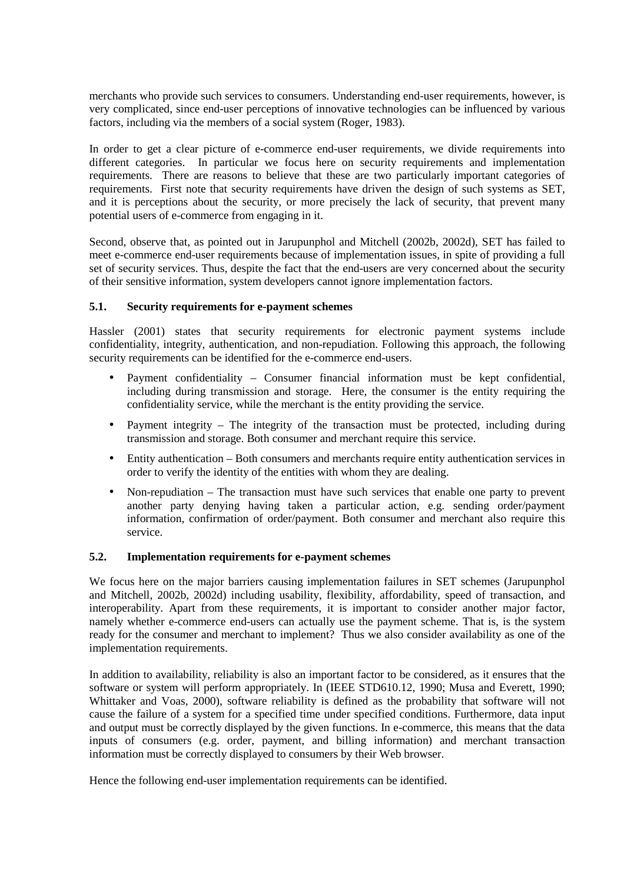merchants who provide such services to consumers. Understanding end-user requirements, however, is very complicated, since end-user perceptions of innovative technologies can be influenced by various factors, including via the members of a social system (Roger, 1983).

In order to get a clear picture of e-commerce end-user requirements, we divide requirements into different categories. In particular we focus here on security requirements and implementation requirements. There are reasons to believe that these are two particularly important categories of requirements. First note that security requirements have driven the design of such systems as SET, and it is perceptions about the security, or more precisely the lack of security, that prevent many potential users of e-commerce from engaging in it.

Second, observe that, as pointed out in Jarupunphol and Mitchell (2002b, 2002d), SET has failed to meet e-commerce end-user requirements because of implementation issues, in spite of providing a full set of security services. Thus, despite the fact that the end-users are very concerned about the security of their sensitive information, system developers cannot ignore implementation factors.

#### **5.1. Security requirements for e-payment schemes**

Hassler (2001) states that security requirements for electronic payment systems include confidentiality, integrity, authentication, and non-repudiation. Following this approach, the following security requirements can be identified for the e-commerce end-users.

- Payment confidentiality Consumer financial information must be kept confidential, including during transmission and storage. Here, the consumer is the entity requiring the confidentiality service, while the merchant is the entity providing the service.
- Payment integrity The integrity of the transaction must be protected, including during transmission and storage. Both consumer and merchant require this service.
- Entity authentication Both consumers and merchants require entity authentication services in order to verify the identity of the entities with whom they are dealing.
- Non-repudiation The transaction must have such services that enable one party to prevent another party denying having taken a particular action, e.g. sending order/payment information, confirmation of order/payment. Both consumer and merchant also require this service.

#### **5.2. Implementation requirements for e-payment schemes**

We focus here on the major barriers causing implementation failures in SET schemes (Jarupunphol and Mitchell, 2002b, 2002d) including usability, flexibility, affordability, speed of transaction, and interoperability. Apart from these requirements, it is important to consider another major factor, namely whether e-commerce end-users can actually use the payment scheme. That is, is the system ready for the consumer and merchant to implement? Thus we also consider availability as one of the implementation requirements.

In addition to availability, reliability is also an important factor to be considered, as it ensures that the software or system will perform appropriately. In (IEEE STD610.12, 1990; Musa and Everett, 1990; Whittaker and Voas, 2000), software reliability is defined as the probability that software will not cause the failure of a system for a specified time under specified conditions. Furthermore, data input and output must be correctly displayed by the given functions. In e-commerce, this means that the data inputs of consumers (e.g. order, payment, and billing information) and merchant transaction information must be correctly displayed to consumers by their Web browser.

Hence the following end-user implementation requirements can be identified.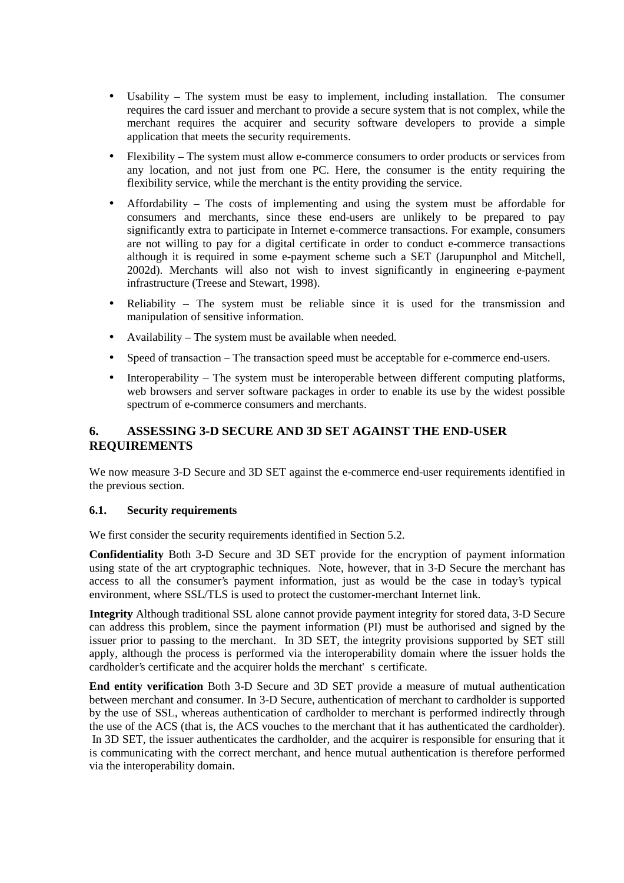- Usability The system must be easy to implement, including installation. The consumer requires the card issuer and merchant to provide a secure system that is not complex, while the merchant requires the acquirer and security software developers to provide a simple application that meets the security requirements.
- Flexibility The system must allow e-commerce consumers to order products or services from any location, and not just from one PC. Here, the consumer is the entity requiring the flexibility service, while the merchant is the entity providing the service.
- Affordability The costs of implementing and using the system must be affordable for consumers and merchants, since these end-users are unlikely to be prepared to pay significantly extra to participate in Internet e-commerce transactions. For example, consumers are not willing to pay for a digital certificate in order to conduct e-commerce transactions although it is required in some e-payment scheme such a SET (Jarupunphol and Mitchell, 2002d). Merchants will also not wish to invest significantly in engineering e-payment infrastructure (Treese and Stewart, 1998).
- Reliability The system must be reliable since it is used for the transmission and manipulation of sensitive information.
- Availability The system must be available when needed.
- Speed of transaction The transaction speed must be acceptable for e-commerce end-users.
- Interoperability The system must be interoperable between different computing platforms, web browsers and server software packages in order to enable its use by the widest possible spectrum of e-commerce consumers and merchants.

## **6. ASSESSING 3-D SECURE AND 3D SET AGAINST THE END-USER REQUIREMENTS**

We now measure 3-D Secure and 3D SET against the e-commerce end-user requirements identified in the previous section.

#### **6.1. Security requirements**

We first consider the security requirements identified in Section 5.2.

**Confidentiality** Both 3-D Secure and 3D SET provide for the encryption of payment information using state of the art cryptographic techniques. Note, however, that in 3-D Secure the merchant has access to all the consumer's payment information, just as would be the case in today's typical environment, where SSL/TLS is used to protect the customer-merchant Internet link.

**Integrity** Although traditional SSL alone cannot provide payment integrity for stored data, 3-D Secure can address this problem, since the payment information (PI) must be authorised and signed by the issuer prior to passing to the merchant. In 3D SET, the integrity provisions supported by SET still apply, although the process is performed via the interoperability domain where the issuer holds the cardholder's certificate and the acquirer holds the merchant' s certificate.

**End entity verification** Both 3-D Secure and 3D SET provide a measure of mutual authentication between merchant and consumer. In 3-D Secure, authentication of merchant to cardholder is supported by the use of SSL, whereas authentication of cardholder to merchant is performed indirectly through the use of the ACS (that is, the ACS vouches to the merchant that it has authenticated the cardholder). In 3D SET, the issuer authenticates the cardholder, and the acquirer is responsible for ensuring that it is communicating with the correct merchant, and hence mutual authentication is therefore performed via the interoperability domain.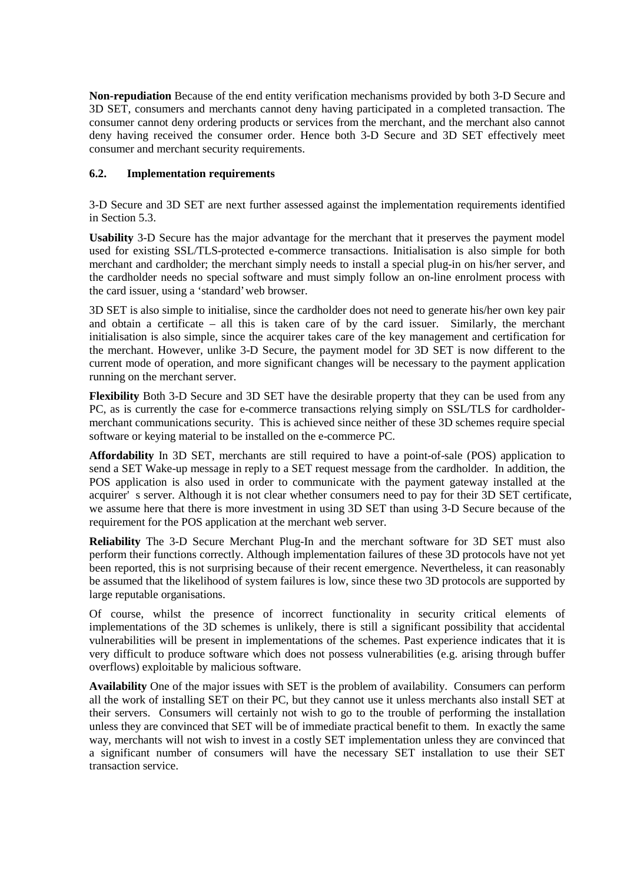**Non-repudiation** Because of the end entity verification mechanisms provided by both 3-D Secure and 3D SET, consumers and merchants cannot deny having participated in a completed transaction. The consumer cannot deny ordering products or services from the merchant, and the merchant also cannot deny having received the consumer order. Hence both 3-D Secure and 3D SET effectively meet consumer and merchant security requirements.

### **6.2. Implementation requirements**

3-D Secure and 3D SET are next further assessed against the implementation requirements identified in Section 5.3.

**Usability** 3-D Secure has the major advantage for the merchant that it preserves the payment model used for existing SSL/TLS-protected e-commerce transactions. Initialisation is also simple for both merchant and cardholder; the merchant simply needs to install a special plug-in on his/her server, and the cardholder needs no special software and must simply follow an on-line enrolment process with the card issuer, using a 'standard' web browser.

3D SET is also simple to initialise, since the cardholder does not need to generate his/her own key pair and obtain a certificate – all this is taken care of by the card issuer. Similarly, the merchant initialisation is also simple, since the acquirer takes care of the key management and certification for the merchant. However, unlike 3-D Secure, the payment model for 3D SET is now different to the current mode of operation, and more significant changes will be necessary to the payment application running on the merchant server.

**Flexibility** Both 3-D Secure and 3D SET have the desirable property that they can be used from any PC, as is currently the case for e-commerce transactions relying simply on SSL/TLS for cardholdermerchant communications security. This is achieved since neither of these 3D schemes require special software or keying material to be installed on the e-commerce PC.

**Affordability** In 3D SET, merchants are still required to have a point-of-sale (POS) application to send a SET Wake-up message in reply to a SET request message from the cardholder. In addition, the POS application is also used in order to communicate with the payment gateway installed at the acquirer' s server. Although it is not clear whether consumers need to pay for their 3D SET certificate, we assume here that there is more investment in using 3D SET than using 3-D Secure because of the requirement for the POS application at the merchant web server.

**Reliability** The 3-D Secure Merchant Plug-In and the merchant software for 3D SET must also perform their functions correctly. Although implementation failures of these 3D protocols have not yet been reported, this is not surprising because of their recent emergence. Nevertheless, it can reasonably be assumed that the likelihood of system failures is low, since these two 3D protocols are supported by large reputable organisations.

Of course, whilst the presence of incorrect functionality in security critical elements of implementations of the 3D schemes is unlikely, there is still a significant possibility that accidental vulnerabilities will be present in implementations of the schemes. Past experience indicates that it is very difficult to produce software which does not possess vulnerabilities (e.g. arising through buffer overflows) exploitable by malicious software.

**Availability** One of the major issues with SET is the problem of availability. Consumers can perform all the work of installing SET on their PC, but they cannot use it unless merchants also install SET at their servers. Consumers will certainly not wish to go to the trouble of performing the installation unless they are convinced that SET will be of immediate practical benefit to them. In exactly the same way, merchants will not wish to invest in a costly SET implementation unless they are convinced that a significant number of consumers will have the necessary SET installation to use their SET transaction service.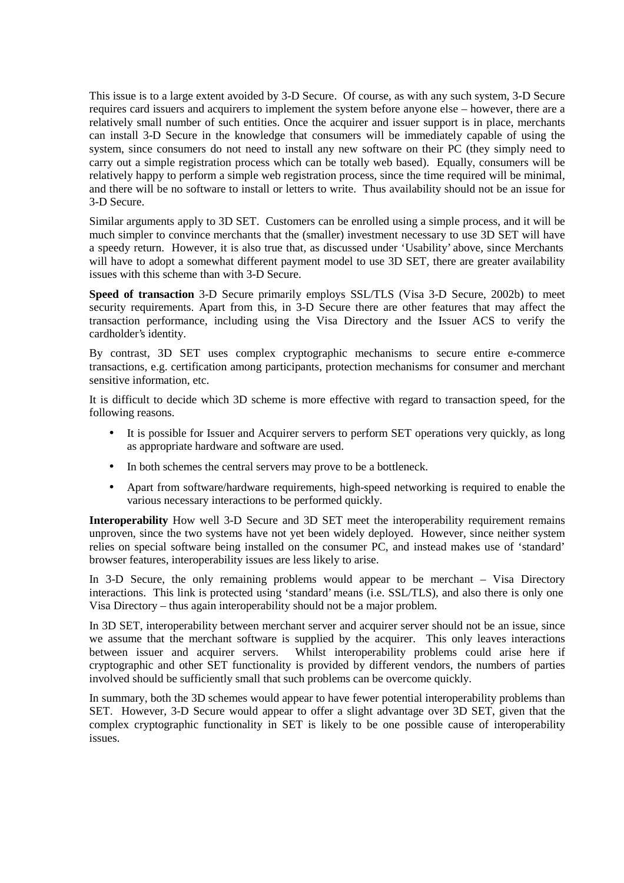This issue is to a large extent avoided by 3-D Secure. Of course, as with any such system, 3-D Secure requires card issuers and acquirers to implement the system before anyone else – however, there are a relatively small number of such entities. Once the acquirer and issuer support is in place, merchants can install 3-D Secure in the knowledge that consumers will be immediately capable of using the system, since consumers do not need to install any new software on their PC (they simply need to carry out a simple registration process which can be totally web based). Equally, consumers will be relatively happy to perform a simple web registration process, since the time required will be minimal, and there will be no software to install or letters to write. Thus availability should not be an issue for 3-D Secure.

Similar arguments apply to 3D SET. Customers can be enrolled using a simple process, and it will be much simpler to convince merchants that the (smaller) investment necessary to use 3D SET will have a speedy return. However, it is also true that, as discussed under 'Usability' above, since Merchants will have to adopt a somewhat different payment model to use 3D SET, there are greater availability issues with this scheme than with 3-D Secure.

**Speed of transaction** 3-D Secure primarily employs SSL/TLS (Visa 3-D Secure, 2002b) to meet security requirements. Apart from this, in 3-D Secure there are other features that may affect the transaction performance, including using the Visa Directory and the Issuer ACS to verify the cardholder's identity.

By contrast, 3D SET uses complex cryptographic mechanisms to secure entire e-commerce transactions, e.g. certification among participants, protection mechanisms for consumer and merchant sensitive information, etc.

It is difficult to decide which 3D scheme is more effective with regard to transaction speed, for the following reasons.

- It is possible for Issuer and Acquirer servers to perform SET operations very quickly, as long as appropriate hardware and software are used.
- In both schemes the central servers may prove to be a bottleneck.
- Apart from software/hardware requirements, high-speed networking is required to enable the various necessary interactions to be performed quickly.

**Interoperability** How well 3-D Secure and 3D SET meet the interoperability requirement remains unproven, since the two systems have not yet been widely deployed. However, since neither system relies on special software being installed on the consumer PC, and instead makes use of 'standard' browser features, interoperability issues are less likely to arise.

In 3-D Secure, the only remaining problems would appear to be merchant – Visa Directory interactions. This link is protected using 'standard' means (i.e. SSL/TLS), and also there is only one Visa Directory – thus again interoperability should not be a major problem.

In 3D SET, interoperability between merchant server and acquirer server should not be an issue, since we assume that the merchant software is supplied by the acquirer. This only leaves interactions between issuer and acquirer servers. Whilst interoperability problems could arise here if cryptographic and other SET functionality is provided by different vendors, the numbers of parties involved should be sufficiently small that such problems can be overcome quickly.

In summary, both the 3D schemes would appear to have fewer potential interoperability problems than SET. However, 3-D Secure would appear to offer a slight advantage over 3D SET, given that the complex cryptographic functionality in SET is likely to be one possible cause of interoperability issues.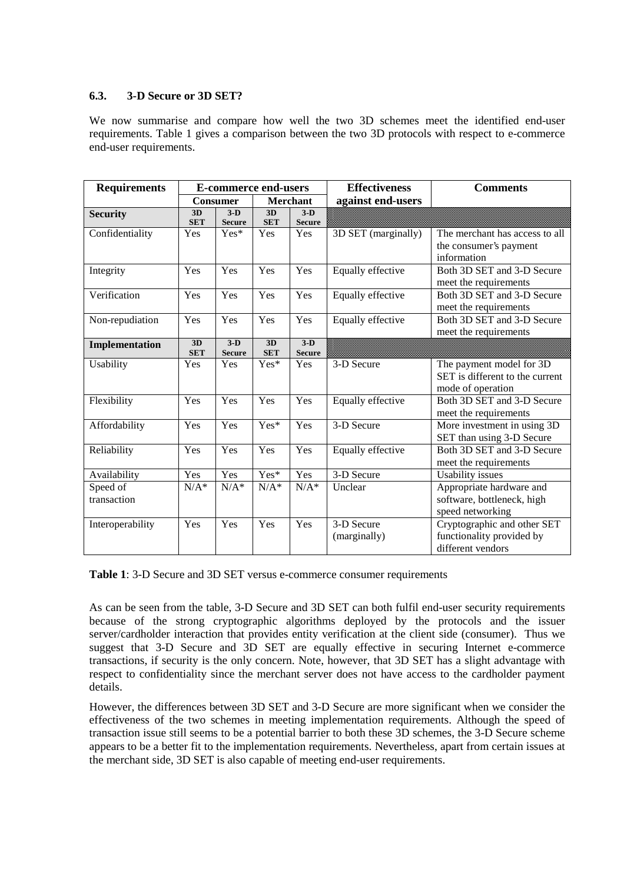#### **6.3. 3-D Secure or 3D SET?**

We now summarise and compare how well the two 3D schemes meet the identified end-user requirements. Table 1 gives a comparison between the two 3D protocols with respect to e-commerce end-user requirements.

| <b>Requirements</b> | <b>E-commerce end-users</b> |                                   |                  |                        | <b>Effectiveness</b> | <b>Comments</b>                                     |
|---------------------|-----------------------------|-----------------------------------|------------------|------------------------|----------------------|-----------------------------------------------------|
|                     | <b>Consumer</b>             |                                   | Merchant         |                        | against end-users    |                                                     |
| <b>Security</b>     | 3D<br><b>SET</b>            | $3-D$<br><b>Secure</b>            | 3D<br><b>SET</b> | $3-D$<br><b>Secure</b> |                      |                                                     |
| Confidentiality     | Yes                         | Yes*                              | Yes              | Yes                    | 3D SET (marginally)  | The merchant has access to all                      |
|                     |                             |                                   |                  |                        |                      | the consumer's payment                              |
|                     |                             |                                   |                  |                        |                      | information                                         |
| Integrity           | Yes                         | Yes                               | Yes              | Yes                    | Equally effective    | Both 3D SET and 3-D Secure<br>meet the requirements |
| Verification        | Yes                         | Yes                               | Yes              | Yes                    | Equally effective    | Both 3D SET and 3-D Secure                          |
|                     |                             |                                   |                  |                        |                      | meet the requirements                               |
| Non-repudiation     | Yes                         | Yes                               | Yes              | Yes                    | Equally effective    | Both 3D SET and 3-D Secure                          |
|                     |                             |                                   |                  |                        |                      | meet the requirements                               |
| Implementation      | 3D<br><b>SET</b>            | $\overline{3-D}$<br><b>Secure</b> | 3D<br><b>SET</b> | $3-D$<br><b>Secure</b> |                      |                                                     |
| Usability           | Yes                         | Yes                               | Yes*             | Yes                    | 3-D Secure           | The payment model for 3D                            |
|                     |                             |                                   |                  |                        |                      | SET is different to the current                     |
|                     |                             |                                   |                  |                        |                      | mode of operation                                   |
| Flexibility         | Yes                         | Yes                               | Yes              | Yes                    | Equally effective    | Both 3D SET and 3-D Secure                          |
|                     |                             |                                   |                  |                        |                      | meet the requirements                               |
| Affordability       | Yes                         | Yes                               | Yes*             | Yes                    | 3-D Secure           | More investment in using 3D                         |
|                     |                             |                                   |                  |                        |                      | SET than using 3-D Secure                           |
| Reliability         | Yes                         | Yes                               | Yes              | Yes                    | Equally effective    | Both 3D SET and 3-D Secure                          |
|                     |                             |                                   |                  |                        |                      | meet the requirements                               |
| Availability        | Yes                         | Yes                               | Yes*             | Yes                    | 3-D Secure           | Usability issues                                    |
| Speed of            | $N/A^*$                     | $N/A^*$                           | $N/A^*$          | $N/A^*$                | Unclear              | Appropriate hardware and                            |
| transaction         |                             |                                   |                  |                        |                      | software, bottleneck, high                          |
|                     |                             |                                   |                  |                        |                      | speed networking                                    |
| Interoperability    | Yes                         | Yes                               | Yes              | Yes                    | 3-D Secure           | Cryptographic and other SET                         |
|                     |                             |                                   |                  |                        | (marginally)         | functionality provided by                           |
|                     |                             |                                   |                  |                        |                      | different vendors                                   |

**Table 1**: 3-D Secure and 3D SET versus e-commerce consumer requirements

As can be seen from the table, 3-D Secure and 3D SET can both fulfil end-user security requirements because of the strong cryptographic algorithms deployed by the protocols and the issuer server/cardholder interaction that provides entity verification at the client side (consumer). Thus we suggest that 3-D Secure and 3D SET are equally effective in securing Internet e-commerce transactions, if security is the only concern. Note, however, that 3D SET has a slight advantage with respect to confidentiality since the merchant server does not have access to the cardholder payment details.

However, the differences between 3D SET and 3-D Secure are more significant when we consider the effectiveness of the two schemes in meeting implementation requirements. Although the speed of transaction issue still seems to be a potential barrier to both these 3D schemes, the 3-D Secure scheme appears to be a better fit to the implementation requirements. Nevertheless, apart from certain issues at the merchant side, 3D SET is also capable of meeting end-user requirements.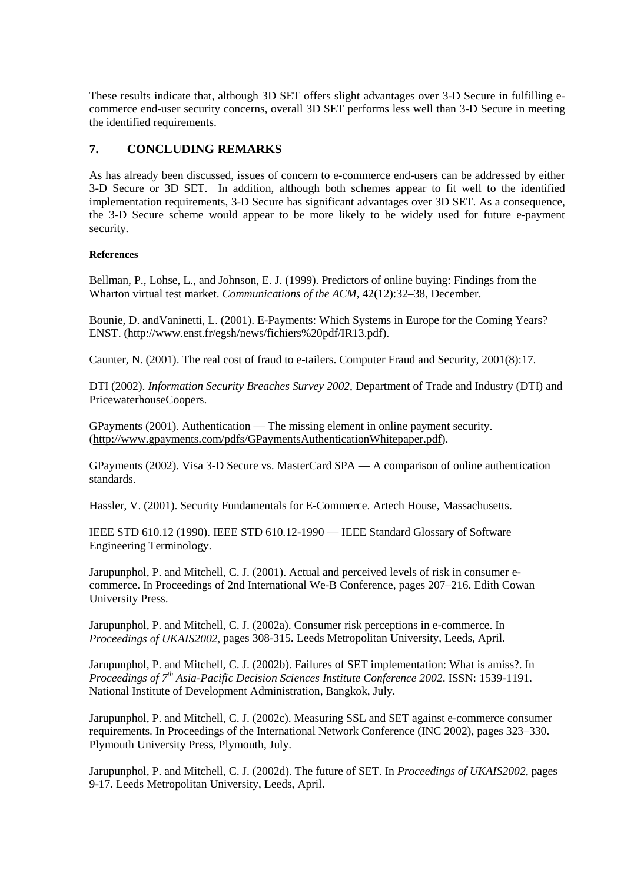These results indicate that, although 3D SET offers slight advantages over 3-D Secure in fulfilling ecommerce end-user security concerns, overall 3D SET performs less well than 3-D Secure in meeting the identified requirements.

### **7. CONCLUDING REMARKS**

As has already been discussed, issues of concern to e-commerce end-users can be addressed by either 3-D Secure or 3D SET. In addition, although both schemes appear to fit well to the identified implementation requirements, 3-D Secure has significant advantages over 3D SET. As a consequence, the 3-D Secure scheme would appear to be more likely to be widely used for future e-payment security.

#### **References**

Bellman, P., Lohse, L., and Johnson, E. J. (1999). Predictors of online buying: Findings from the Wharton virtual test market. *Communications of the ACM*, 42(12):32–38, December.

Bounie, D. andVaninetti, L. (2001). E-Payments: Which Systems in Europe for the Coming Years? ENST. (http://www.enst.fr/egsh/news/fichiers%20pdf/IR13.pdf).

Caunter, N. (2001). The real cost of fraud to e-tailers. Computer Fraud and Security, 2001(8):17.

DTI (2002). *Information Security Breaches Survey 2002*, Department of Trade and Industry (DTI) and PricewaterhouseCoopers.

GPayments (2001). Authentication — The missing element in online payment security. (http://www.gpayments.com/pdfs/GPaymentsAuthenticationWhitepaper.pdf).

GPayments (2002). Visa 3-D Secure vs. MasterCard SPA — A comparison of online authentication standards.

Hassler, V. (2001). Security Fundamentals for E-Commerce. Artech House, Massachusetts.

IEEE STD 610.12 (1990). IEEE STD 610.12-1990 — IEEE Standard Glossary of Software Engineering Terminology.

Jarupunphol, P. and Mitchell, C. J. (2001). Actual and perceived levels of risk in consumer ecommerce. In Proceedings of 2nd International We-B Conference, pages 207–216. Edith Cowan University Press.

Jarupunphol, P. and Mitchell, C. J. (2002a). Consumer risk perceptions in e-commerce. In *Proceedings of UKAIS2002,* pages 308-315. Leeds Metropolitan University, Leeds, April.

Jarupunphol, P. and Mitchell, C. J. (2002b). Failures of SET implementation: What is amiss?. In *Proceedings of 7 th Asia-Pacific Decision Sciences Institute Conference 2002*. ISSN: 1539-1191. National Institute of Development Administration, Bangkok, July.

Jarupunphol, P. and Mitchell, C. J. (2002c). Measuring SSL and SET against e-commerce consumer requirements. In Proceedings of the International Network Conference (INC 2002), pages 323–330. Plymouth University Press, Plymouth, July.

Jarupunphol, P. and Mitchell, C. J. (2002d). The future of SET. In *Proceedings of UKAIS2002*, pages 9-17. Leeds Metropolitan University, Leeds, April.